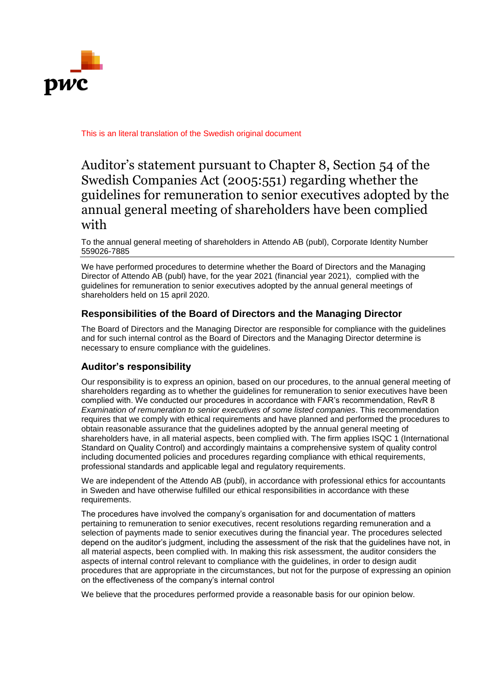

This is an literal translation of the Swedish original document

## Auditor's statement pursuant to Chapter 8, Section 54 of the Swedish Companies Act (2005:551) regarding whether the guidelines for remuneration to senior executives adopted by the annual general meeting of shareholders have been complied with

To the annual general meeting of shareholders in Attendo AB (publ), Corporate Identity Number 559026-7885

We have performed procedures to determine whether the Board of Directors and the Managing Director of Attendo AB (publ) have, for the year 2021 (financial year 2021), complied with the guidelines for remuneration to senior executives adopted by the annual general meetings of shareholders held on 15 april 2020.

## **Responsibilities of the Board of Directors and the Managing Director**

The Board of Directors and the Managing Director are responsible for compliance with the guidelines and for such internal control as the Board of Directors and the Managing Director determine is necessary to ensure compliance with the guidelines.

## **Auditor's responsibility**

Our responsibility is to express an opinion, based on our procedures, to the annual general meeting of shareholders regarding as to whether the guidelines for remuneration to senior executives have been complied with. We conducted our procedures in accordance with FAR's recommendation, RevR 8 *Examination of remuneration to senior executives of some listed companies*. This recommendation requires that we comply with ethical requirements and have planned and performed the procedures to obtain reasonable assurance that the guidelines adopted by the annual general meeting of shareholders have, in all material aspects, been complied with. The firm applies ISQC 1 (International Standard on Quality Control) and accordingly maintains a comprehensive system of quality control including documented policies and procedures regarding compliance with ethical requirements, professional standards and applicable legal and regulatory requirements.

We are independent of the Attendo AB (publ), in accordance with professional ethics for accountants in Sweden and have otherwise fulfilled our ethical responsibilities in accordance with these requirements.

The procedures have involved the company's organisation for and documentation of matters pertaining to remuneration to senior executives, recent resolutions regarding remuneration and a selection of payments made to senior executives during the financial year. The procedures selected depend on the auditor's judgment, including the assessment of the risk that the guidelines have not, in all material aspects, been complied with. In making this risk assessment, the auditor considers the aspects of internal control relevant to compliance with the guidelines, in order to design audit procedures that are appropriate in the circumstances, but not for the purpose of expressing an opinion on the effectiveness of the company's internal control

We believe that the procedures performed provide a reasonable basis for our opinion below.